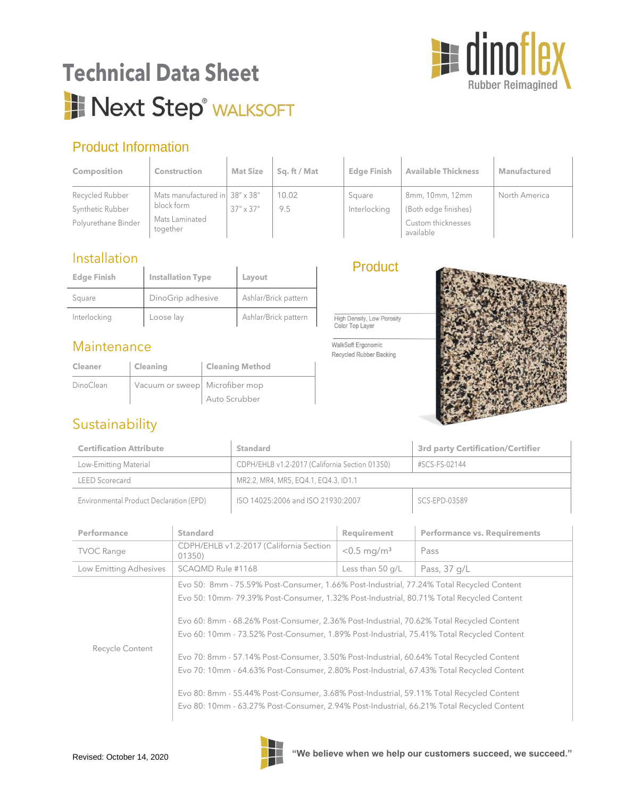

# **Technical Data Sheet** Next Step<sup>®</sup> WALKSOFT

## Product Information

| <b>Composition</b>                                         | <b>Construction</b>                                                        | <b>Mat Size</b>    | Sq. ft / Mat | <b>Edge Finish</b>     | <b>Available Thickness</b>                                                 | Manufactured  |
|------------------------------------------------------------|----------------------------------------------------------------------------|--------------------|--------------|------------------------|----------------------------------------------------------------------------|---------------|
| Recycled Rubber<br>Synthetic Rubber<br>Polyurethane Binder | Mats manufactured in 38" x 38"<br>block form<br>Mats Laminated<br>together | $37'' \times 37''$ | 10.02<br>9.5 | Square<br>Interlocking | 8mm, 10mm, 12mm<br>(Both edge finishes)<br>Custom thicknesses<br>available | North America |

### **Installation**

| .                  |                          |                      |  |
|--------------------|--------------------------|----------------------|--|
| <b>Edge Finish</b> | <b>Installation Type</b> | Layout               |  |
| Square             | DinoGrip adhesive        | Ashlar/Brick pattern |  |
| Interlocking       | Loose lay                | Ashlar/Brick pattern |  |

### **Maintenance**

| Cleaner   | <b>Cleaning</b>                | <b>Cleaning Method</b> |
|-----------|--------------------------------|------------------------|
| DinoClean | Vacuum or sweep Microfiber mop |                        |
|           |                                | Auto Scrubber          |

### **Product**

High Density, Low Porosity<br>Color Top Layer

 $\mathbf{r}$ 

WalkSoft Ergonomic Recycled Rubber Backing



## Sustainability

| <b>Certification Attribute</b>          |                                                   | <b>Standard</b>                                |                           | <b>3rd party Certification/Certifier</b>                                                                                                                                                                                                                                                                                                                                                                                                                                                                                                                                                                                                                                                                                                                        |  |
|-----------------------------------------|---------------------------------------------------|------------------------------------------------|---------------------------|-----------------------------------------------------------------------------------------------------------------------------------------------------------------------------------------------------------------------------------------------------------------------------------------------------------------------------------------------------------------------------------------------------------------------------------------------------------------------------------------------------------------------------------------------------------------------------------------------------------------------------------------------------------------------------------------------------------------------------------------------------------------|--|
| Low-Emitting Material                   |                                                   | CDPH/EHLB v1.2-2017 (California Section 01350) |                           | #SCS-FS-02144                                                                                                                                                                                                                                                                                                                                                                                                                                                                                                                                                                                                                                                                                                                                                   |  |
| <b>LEED Scorecard</b>                   |                                                   | MR2.2, MR4, MR5, EQ4.1, EQ4.3, ID1.1           |                           |                                                                                                                                                                                                                                                                                                                                                                                                                                                                                                                                                                                                                                                                                                                                                                 |  |
| Environmental Product Declaration (EPD) |                                                   | ISO 14025:2006 and ISO 21930:2007              |                           | SCS-EPD-03589                                                                                                                                                                                                                                                                                                                                                                                                                                                                                                                                                                                                                                                                                                                                                   |  |
| <b>Standard</b><br>Performance          |                                                   |                                                | Requirement               | <b>Performance vs. Requirements</b>                                                                                                                                                                                                                                                                                                                                                                                                                                                                                                                                                                                                                                                                                                                             |  |
| <b>TVOC Range</b>                       | CDPH/EHLB v1.2-2017 (California Section<br>01350) |                                                | $< 0.5$ mg/m <sup>3</sup> | Pass                                                                                                                                                                                                                                                                                                                                                                                                                                                                                                                                                                                                                                                                                                                                                            |  |
| Low Emitting Adhesives                  | SCAQMD Rule #1168                                 |                                                | Less than 50 g/L          | Pass, 37 g/L                                                                                                                                                                                                                                                                                                                                                                                                                                                                                                                                                                                                                                                                                                                                                    |  |
| Recycle Content                         |                                                   |                                                |                           | Evo 50: 8mm - 75.59% Post-Consumer, 1.66% Post-Industrial, 77.24% Total Recycled Content<br>Evo 50: 10mm- 79.39% Post-Consumer, 1.32% Post-Industrial, 80.71% Total Recycled Content<br>Evo 60: 8mm - 68.26% Post-Consumer, 2.36% Post-Industrial, 70.62% Total Recycled Content<br>Evo 60: 10mm - 73.52% Post-Consumer, 1.89% Post-Industrial, 75.41% Total Recycled Content<br>Evo 70: 8mm - 57.14% Post-Consumer, 3.50% Post-Industrial, 60.64% Total Recycled Content<br>Evo 70: 10mm - 64.63% Post-Consumer, 2.80% Post-Industrial, 67.43% Total Recycled Content<br>Evo 80: 8mm - 55.44% Post-Consumer, 3.68% Post-Industrial, 59.11% Total Recycled Content<br>Evo 80: 10mm - 63.27% Post-Consumer, 2.94% Post-Industrial, 66.21% Total Recycled Content |  |

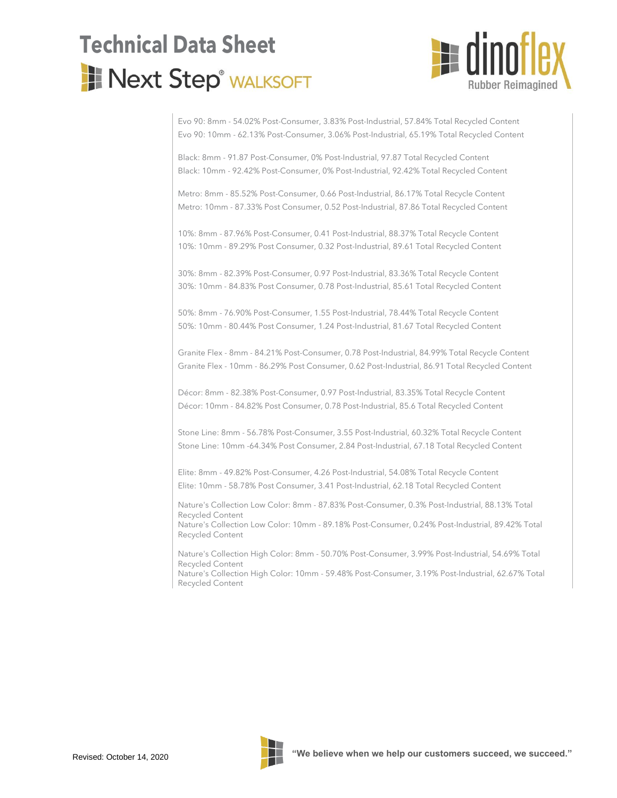# **Technical Data Sheet**Next Step® WALKSOFT



Evo 90: 8mm - 54.02% Post-Consumer, 3.83% Post-Industrial, 57.84% Total Recycled Content Evo 90: 10mm - 62.13% Post-Consumer, 3.06% Post-Industrial, 65.19% Total Recycled Content

Black: 8mm - 91.87 Post-Consumer, 0% Post-Industrial, 97.87 Total Recycled Content Black: 10mm - 92.42% Post-Consumer, 0% Post-Industrial, 92.42% Total Recycled Content

Metro: 8mm - 85.52% Post-Consumer, 0.66 Post-Industrial, 86.17% Total Recycle Content Metro: 10mm - 87.33% Post Consumer, 0.52 Post-Industrial, 87.86 Total Recycled Content

10%: 8mm - 87.96% Post-Consumer, 0.41 Post-Industrial, 88.37% Total Recycle Content 10%: 10mm - 89.29% Post Consumer, 0.32 Post-Industrial, 89.61 Total Recycled Content

30%: 8mm - 82.39% Post-Consumer, 0.97 Post-Industrial, 83.36% Total Recycle Content 30%: 10mm - 84.83% Post Consumer, 0.78 Post-Industrial, 85.61 Total Recycled Content

50%: 8mm - 76.90% Post-Consumer, 1.55 Post-Industrial, 78.44% Total Recycle Content 50%: 10mm - 80.44% Post Consumer, 1.24 Post-Industrial, 81.67 Total Recycled Content

Granite Flex - 8mm - 84.21% Post-Consumer, 0.78 Post-Industrial, 84.99% Total Recycle Content Granite Flex - 10mm - 86.29% Post Consumer, 0.62 Post-Industrial, 86.91 Total Recycled Content

Décor: 8mm - 82.38% Post-Consumer, 0.97 Post-Industrial, 83.35% Total Recycle Content Décor: 10mm - 84.82% Post Consumer, 0.78 Post-Industrial, 85.6 Total Recycled Content

Stone Line: 8mm - 56.78% Post-Consumer, 3.55 Post-Industrial, 60.32% Total Recycle Content Stone Line: 10mm -64.34% Post Consumer, 2.84 Post-Industrial, 67.18 Total Recycled Content

Elite: 8mm - 49.82% Post-Consumer, 4.26 Post-Industrial, 54.08% Total Recycle Content Elite: 10mm - 58.78% Post Consumer, 3.41 Post-Industrial, 62.18 Total Recycled Content

Nature's Collection Low Color: 8mm - 87.83% Post-Consumer, 0.3% Post-Industrial, 88.13% Total Recycled Content

Nature's Collection Low Color: 10mm - 89.18% Post-Consumer, 0.24% Post-Industrial, 89.42% Total Recycled Content

Nature's Collection High Color: 8mm - 50.70% Post-Consumer, 3.99% Post-Industrial, 54.69% Total Recycled Content

Nature's Collection High Color: 10mm - 59.48% Post-Consumer, 3.19% Post-Industrial, 62.67% Total Recycled Content